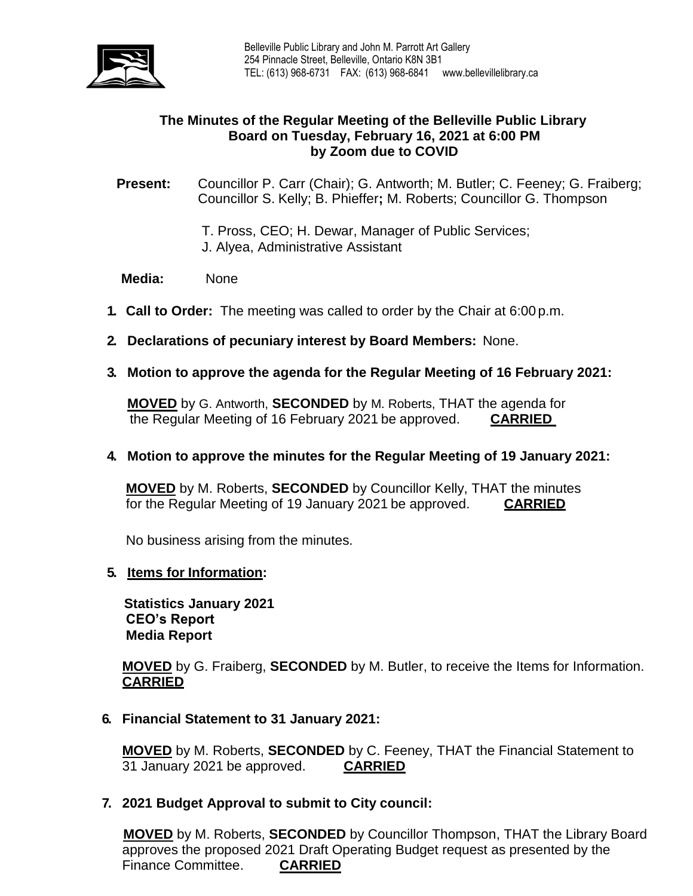

# **The Minutes of the Regular Meeting of the Belleville Public Library Board on Tuesday, February 16, 2021 at 6:00 PM by Zoom due to COVID**

**Present:** Councillor P. Carr (Chair); G. Antworth; M. Butler; C. Feeney; G. Fraiberg; Councillor S. Kelly; B. Phieffer**;** M. Roberts; Councillor G. Thompson

- T. Pross, CEO; H. Dewar, Manager of Public Services;
- J. Alyea, Administrative Assistant

# **Media:** None

- **1. Call to Order:** The meeting was called to order by the Chair at 6:00 p.m.
- **2. Declarations of pecuniary interest by Board Members:** None.
- **3. Motion to approve the agenda for the Regular Meeting of 16 February 2021:**

**MOVED** by G. Antworth, **SECONDED** by M. Roberts, THAT the agenda for the Regular Meeting of 16 February 2021 be approved. **CARRIED**

### **4. Motion to approve the minutes for the Regular Meeting of 19 January 2021:**

**MOVED** by M. Roberts, **SECONDED** by Councillor Kelly, THAT the minutes for the Regular Meeting of 19 January 2021 be approved. **CARRIED**

No business arising from the minutes.

### **5. Items for Information:**

 **Statistics January 2021 CEO's Report Media Report**

**MOVED** by G. Fraiberg, **SECONDED** by M. Butler, to receive the Items for Information. **CARRIED** 

**6. Financial Statement to 31 January 2021:**

**MOVED** by M. Roberts, **SECONDED** by C. Feeney, THAT the Financial Statement to 31 January 2021 be approved. **CARRIED**

**7. 2021 Budget Approval to submit to City council:**

**MOVED** by M. Roberts, **SECONDED** by Councillor Thompson, THAT the Library Board approves the proposed 2021 Draft Operating Budget request as presented by the Finance Committee. **CARRIED**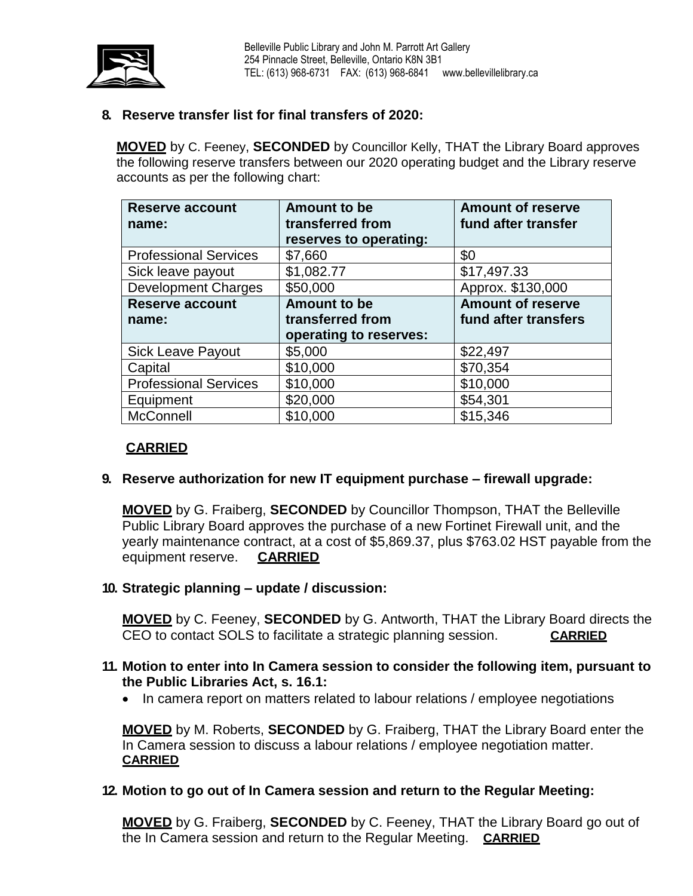

# **8. Reserve transfer list for final transfers of 2020:**

**MOVED** by C. Feeney, **SECONDED** by Councillor Kelly, THAT the Library Board approves the following reserve transfers between our 2020 operating budget and the Library reserve accounts as per the following chart:

| <b>Reserve account</b>       | <b>Amount to be</b>    | <b>Amount of reserve</b> |
|------------------------------|------------------------|--------------------------|
| name:                        | transferred from       | fund after transfer      |
|                              | reserves to operating: |                          |
| <b>Professional Services</b> | \$7,660                | \$0                      |
| Sick leave payout            | \$1,082.77             | \$17,497.33              |
| <b>Development Charges</b>   | \$50,000               | Approx. \$130,000        |
| <b>Reserve account</b>       | <b>Amount to be</b>    | <b>Amount of reserve</b> |
| name:                        | transferred from       | fund after transfers     |
|                              | operating to reserves: |                          |
| <b>Sick Leave Payout</b>     | \$5,000                | \$22,497                 |
| Capital                      | \$10,000               | \$70,354                 |
| <b>Professional Services</b> | \$10,000               | \$10,000                 |
| Equipment                    | \$20,000               | \$54,301                 |
|                              |                        |                          |

# **CARRIED**

### **9. Reserve authorization for new IT equipment purchase – firewall upgrade:**

**MOVED** by G. Fraiberg, **SECONDED** by Councillor Thompson, THAT the Belleville Public Library Board approves the purchase of a new Fortinet Firewall unit, and the yearly maintenance contract, at a cost of \$5,869.37, plus \$763.02 HST payable from the equipment reserve. **CARRIED**

#### **10. Strategic planning – update / discussion:**

**MOVED** by C. Feeney, **SECONDED** by G. Antworth, THAT the Library Board directs the CEO to contact SOLS to facilitate a strategic planning session. **CARRIED**

#### **11. Motion to enter into In Camera session to consider the following item, pursuant to the Public Libraries Act, s. 16.1:**

• In camera report on matters related to labour relations / employee negotiations

**MOVED** by M. Roberts, **SECONDED** by G. Fraiberg, THAT the Library Board enter the In Camera session to discuss a labour relations / employee negotiation matter. **CARRIED**

#### **12. Motion to go out of In Camera session and return to the Regular Meeting:**

**MOVED** by G. Fraiberg, **SECONDED** by C. Feeney, THAT the Library Board go out of the In Camera session and return to the Regular Meeting. **CARRIED**